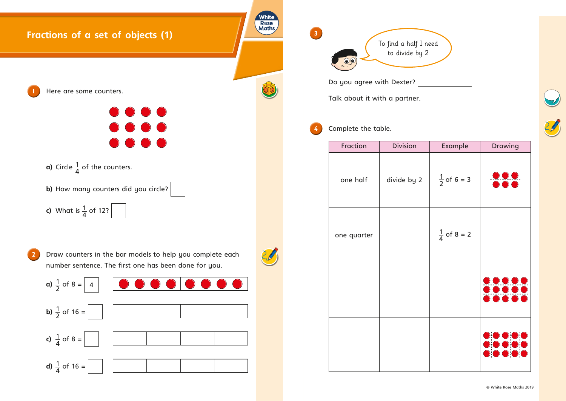







| <b>Example</b>         | <b>Drawing</b>                        |
|------------------------|---------------------------------------|
| $\frac{1}{2}$ of 6 = 3 | <u> 222 - </u>                        |
| $\frac{1}{4}$ of 8 = 2 |                                       |
|                        | $\frac{1}{\sqrt{2}}$<br><b>DC</b>     |
|                        | $\bullet$<br><b>DIO</b><br>$\bigcirc$ |